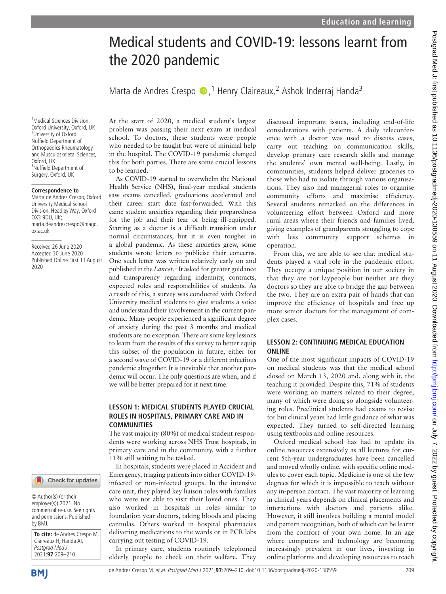# Postgrad Med J: first published as 10.1136/postgradmedj-2020-138559 on 11 August 2020. Downloaded from http://pmj.bmj.com/ on July 7, 2022 by guest. Protected by copyright Postgrad Med J: first published as 10.1136/postgradmedj-2020-138559 on 11 August 2020. Downloaded from bmj.pmj.com/ on July 7, 2022 by guest. Protected by copyright.

# Medical students and COVID-19: lessons learnt from the 2020 pandemic

Marta de Andres Crespo (D, <sup>1</sup> Henry Claireaux, <sup>2</sup> Ashok Inderraj Handa<sup>3</sup>

<sup>1</sup>Medical Sciences Division, Oxford University, Oxford, UK 2 University of Oxford Nuffield Department of Orthopaedics Rheumatology and Musculoskeletal Sciences, Oxford, UK <sup>3</sup>Nuffield Department of Surgery, Oxford, UK

### **Correspondence to**

Marta de Andres Crespo, Oxford University Medical School Division, Headley Way, Oxford OX3 9DU, UK; [marta.deandrescrespo@magd.](mailto:marta.deandrescrespo@magd.ox.ac.uk) [ox.ac.uk](mailto:marta.deandrescrespo@magd.ox.ac.uk)

Received 26 June 2020 Accepted 30 June 2020 Published Online First 11 August 2020

### Check for updates

© Author(s) (or their employer(s)) 2021. No commercial re-use. See rights and permissions. Published by BMJ.

**To cite:** de Andres Crespo M, Claireaux H, Handa AI. Postgrad Med J 2021;**97**:209–210.

**BMI** 

At the start of 2020, a medical student's largest problem was passing their next exam at medical school. To doctors, these students were people who needed to be taught but were of minimal help in the hospital. The COVID-19 pandemic changed this for both parties. There are some crucial lessons to be learned.

As COVID-19 started to overwhelm the National Health Service (NHS), final-year medical students saw exams cancelled, graduations accelerated and their career start date fast-forwarded. With this came student anxieties regarding their preparedness for the job and their fear of being ill-equipped. Starting as a doctor is a difficult transition under normal circumstances, but it is even tougher in a global pandemic. As these anxieties grew, some students wrote letters to publicise their concerns. One such letter was written relatively early on and published in the Lancet.<sup>[1](#page-1-0)</sup> It asked for greater guidance and transparency regarding indemnity, contracts, expected roles and responsibilities of students. As a result of this, a survey was conducted with Oxford University medical students to give students a voice and understand their involvement in the current pandemic. Many people experienced a significant degree of anxiety during the past 3 months and medical students are no exception. There are some key lessons to learn from the results of this survey to better equip this subset of the population in future, either for a second wave of COVID-19 or a different infectious pandemic altogether. It is inevitable that another pandemic will occur. The only questions are when, and if we will be better prepared for it next time.

### LESSON 1: MEDICAL STUDENTS PLAYED CRUCIAL ROLES IN HOSPITALS, PRIMARY CARE AND IN COMMUNITIES

The vast majority (80%) of medical student respondents were working across NHS Trust hospitals, in primary care and in the community, with a further 11% still waiting to be tasked.

In hospitals, students were placed in Accident and Emergency, triaging patients into either COVID-19 infected or non-infected groups. In the intensive care unit, they played key liaison roles with families who were not able to visit their loved ones. They also worked in hospitals in roles similar to foundation year doctors, taking bloods and placing cannulas. Others worked in hospital pharmacies delivering medications to the wards or in PCR labs carrying out testing of COVID-19.

In primary care, students routinely telephoned elderly people to check on their welfare. They discussed important issues, including end-of-life considerations with patients. A daily teleconference with a doctor was used to discuss cases, carry out teaching on communication skills, develop primary care research skills and manage the students' own mental well-being. Lastly, in communities, students helped deliver groceries to those who had to isolate through various organisations. They also had managerial roles to organise community efforts and maximise efficiency. Several students remarked on the differences in volunteering effort between Oxford and more rural areas where their friends and families lived, giving examples of grandparents struggling to cope with less community support schemes in operation.

From this, we are able to see that medical students played a vital role in the pandemic effort. They occupy a unique position in our society in that they are not laypeople but neither are they doctors so they are able to bridge the gap between the two. They are an extra pair of hands that can improve the efficiency of hospitals and free up more senior doctors for the management of complex cases.

### LESSON 2: CONTINUING MEDICAL EDUCATION ONLINE

One of the most significant impacts of COVID-19 on medical students was that the medical school closed on March 13, 2020 and, along with it, the teaching it provided. Despite this, 71% of students were working on matters related to their degree, many of which were doing so alongside volunteering roles. Preclinical students had exams to revise for but clinical years had little guidance of what was expected. They turned to self-directed learning using textbooks and online resources.

Oxford medical school has had to update its online resources extensively as all lectures for current 5th-year undergraduates have been cancelled and moved wholly online, with specific online modules to cover each topic. Medicine is one of the few degrees for which it is impossible to teach without any in-person contact. The vast majority of learning in clinical years depends on clinical placements and interactions with doctors and patients alike. However, it still involves building a mental model and pattern recognition, both of which can be learnt from the comfort of your own home. In an age where computers and technology are becoming increasingly prevalent in our lives, investing in online platforms and developing resources to teach